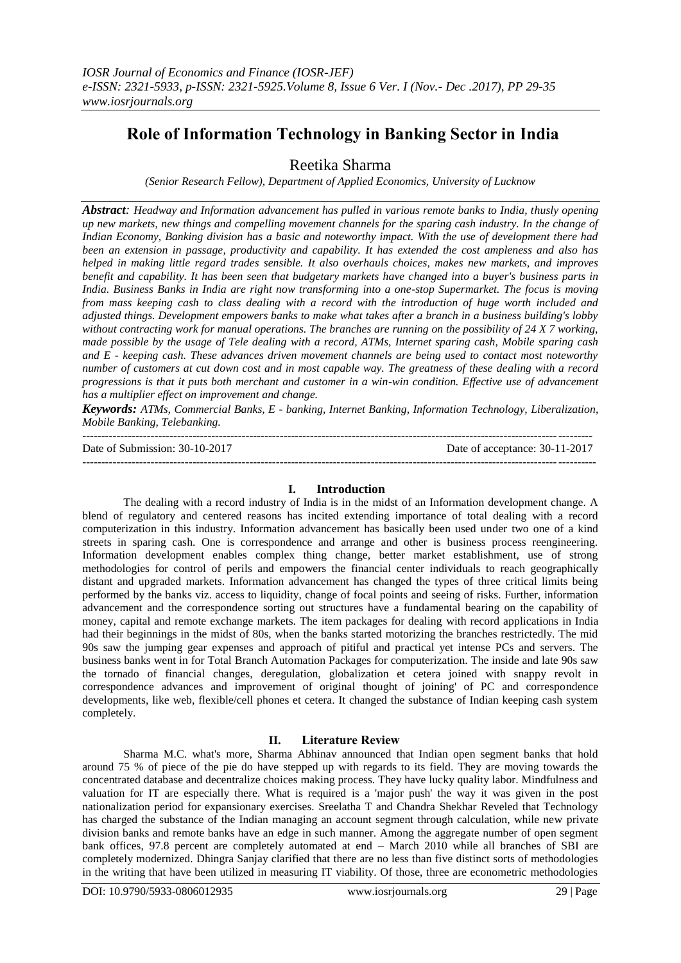# **Role of Information Technology in Banking Sector in India**

# Reetika Sharma

*(Senior Research Fellow), Department of Applied Economics, University of Lucknow*

*Abstract: Headway and Information advancement has pulled in various remote banks to India, thusly opening up new markets, new things and compelling movement channels for the sparing cash industry. In the change of Indian Economy, Banking division has a basic and noteworthy impact. With the use of development there had been an extension in passage, productivity and capability. It has extended the cost ampleness and also has helped in making little regard trades sensible. It also overhauls choices, makes new markets, and improves benefit and capability. It has been seen that budgetary markets have changed into a buyer's business parts in India. Business Banks in India are right now transforming into a one-stop Supermarket. The focus is moving from mass keeping cash to class dealing with a record with the introduction of huge worth included and adjusted things. Development empowers banks to make what takes after a branch in a business building's lobby without contracting work for manual operations. The branches are running on the possibility of 24 X 7 working, made possible by the usage of Tele dealing with a record, ATMs, Internet sparing cash, Mobile sparing cash and E - keeping cash. These advances driven movement channels are being used to contact most noteworthy number of customers at cut down cost and in most capable way. The greatness of these dealing with a record progressions is that it puts both merchant and customer in a win-win condition. Effective use of advancement has a multiplier effect on improvement and change.*

*Keywords: ATMs, Commercial Banks, E - banking, Internet Banking, Information Technology, Liberalization, Mobile Banking, Telebanking.* --------------------------------------------------------------------------------------------------------------------------------------

Date of Submission: 30-10-2017 Date of acceptance: 30-11-2017 ---------------------------------------------------------------------------------------------------------------------------------------

# **I. Introduction**

The dealing with a record industry of India is in the midst of an Information development change. A blend of regulatory and centered reasons has incited extending importance of total dealing with a record computerization in this industry. Information advancement has basically been used under two one of a kind streets in sparing cash. One is correspondence and arrange and other is business process reengineering. Information development enables complex thing change, better market establishment, use of strong methodologies for control of perils and empowers the financial center individuals to reach geographically distant and upgraded markets. Information advancement has changed the types of three critical limits being performed by the banks viz. access to liquidity, change of focal points and seeing of risks. Further, information advancement and the correspondence sorting out structures have a fundamental bearing on the capability of money, capital and remote exchange markets. The item packages for dealing with record applications in India had their beginnings in the midst of 80s, when the banks started motorizing the branches restrictedly. The mid 90s saw the jumping gear expenses and approach of pitiful and practical yet intense PCs and servers. The business banks went in for Total Branch Automation Packages for computerization. The inside and late 90s saw the tornado of financial changes, deregulation, globalization et cetera joined with snappy revolt in correspondence advances and improvement of original thought of joining' of PC and correspondence developments, like web, flexible/cell phones et cetera. It changed the substance of Indian keeping cash system completely.

# **II. Literature Review**

Sharma M.C. what's more, Sharma Abhinav announced that Indian open segment banks that hold around 75 % of piece of the pie do have stepped up with regards to its field. They are moving towards the concentrated database and decentralize choices making process. They have lucky quality labor. Mindfulness and valuation for IT are especially there. What is required is a 'major push' the way it was given in the post nationalization period for expansionary exercises. Sreelatha T and Chandra Shekhar Reveled that Technology has charged the substance of the Indian managing an account segment through calculation, while new private division banks and remote banks have an edge in such manner. Among the aggregate number of open segment bank offices, 97.8 percent are completely automated at end – March 2010 while all branches of SBI are completely modernized. Dhingra Sanjay clarified that there are no less than five distinct sorts of methodologies in the writing that have been utilized in measuring IT viability. Of those, three are econometric methodologies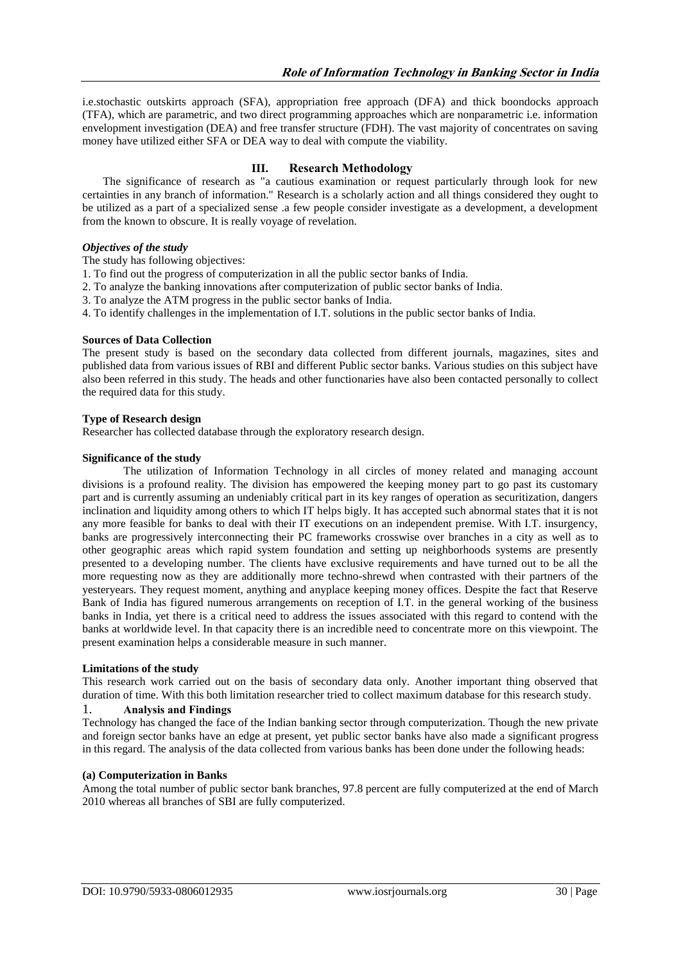i.e.stochastic outskirts approach (SFA), appropriation free approach (DFA) and thick boondocks approach (TFA), which are parametric, and two direct programming approaches which are nonparametric i.e. information envelopment investigation (DEA) and free transfer structure (FDH). The vast majority of concentrates on saving money have utilized either SFA or DEA way to deal with compute the viability.

# **III. Research Methodology**

The significance of research as "a cautious examination or request particularly through look for new certainties in any branch of information." Research is a scholarly action and all things considered they ought to be utilized as a part of a specialized sense .a few people consider investigate as a development, a development from the known to obscure. It is really voyage of revelation.

#### *Objectives of the study*

The study has following objectives:

- 1. To find out the progress of computerization in all the public sector banks of India.
- 2. To analyze the banking innovations after computerization of public sector banks of India.
- 3. To analyze the ATM progress in the public sector banks of India.
- 4. To identify challenges in the implementation of I.T. solutions in the public sector banks of India.

#### **Sources of Data Collection**

The present study is based on the secondary data collected from different journals, magazines, sites and published data from various issues of RBI and different Public sector banks. Various studies on this subject have also been referred in this study. The heads and other functionaries have also been contacted personally to collect the required data for this study.

#### **Type of Research design**

Researcher has collected database through the exploratory research design.

#### **Significance of the study**

The utilization of Information Technology in all circles of money related and managing account divisions is a profound reality. The division has empowered the keeping money part to go past its customary part and is currently assuming an undeniably critical part in its key ranges of operation as securitization, dangers inclination and liquidity among others to which IT helps bigly. It has accepted such abnormal states that it is not any more feasible for banks to deal with their IT executions on an independent premise. With I.T. insurgency, banks are progressively interconnecting their PC frameworks crosswise over branches in a city as well as to other geographic areas which rapid system foundation and setting up neighborhoods systems are presently presented to a developing number. The clients have exclusive requirements and have turned out to be all the more requesting now as they are additionally more techno-shrewd when contrasted with their partners of the yesteryears. They request moment, anything and anyplace keeping money offices. Despite the fact that Reserve Bank of India has figured numerous arrangements on reception of I.T. in the general working of the business banks in India, yet there is a critical need to address the issues associated with this regard to contend with the banks at worldwide level. In that capacity there is an incredible need to concentrate more on this viewpoint. The present examination helps a considerable measure in such manner.

#### **Limitations of the study**

This research work carried out on the basis of secondary data only. Another important thing observed that duration of time. With this both limitation researcher tried to collect maximum database for this research study.

#### 1. **Analysis and Findings**

Technology has changed the face of the Indian banking sector through computerization. Though the new private and foreign sector banks have an edge at present, yet public sector banks have also made a significant progress in this regard. The analysis of the data collected from various banks has been done under the following heads:

#### **(a) Computerization in Banks**

Among the total number of public sector bank branches, 97.8 percent are fully computerized at the end of March 2010 whereas all branches of SBI are fully computerized.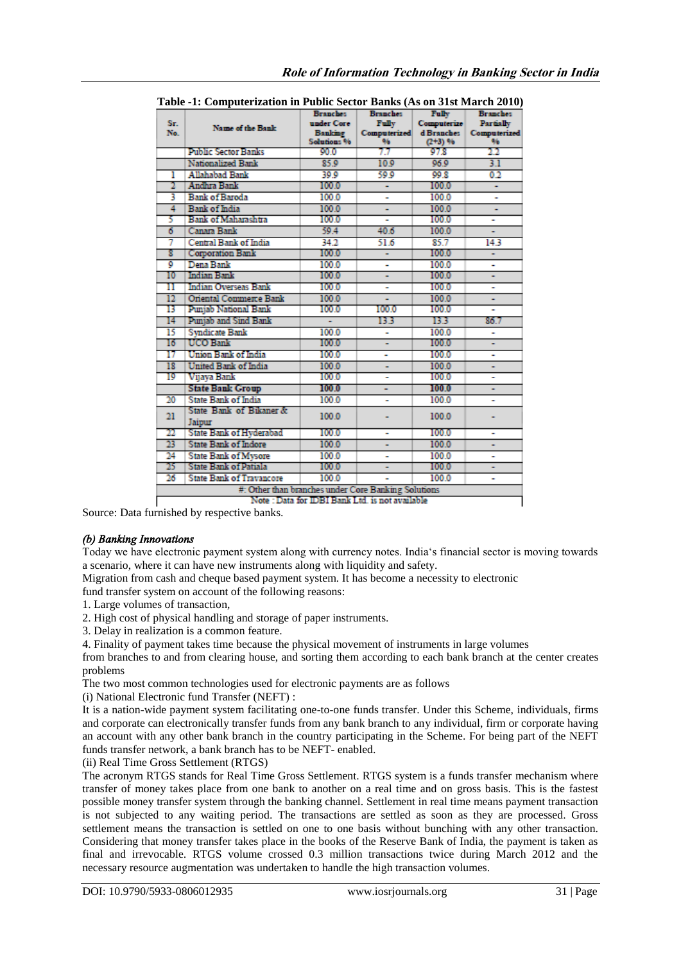| Table -1. Computerization in 1 abile bector Danks (TVs on STSt March 2010)<br>Fully<br><b>Branches</b><br><b>Branches</b><br><b>Branches</b> |                                 |                         |              |                    |              |
|----------------------------------------------------------------------------------------------------------------------------------------------|---------------------------------|-------------------------|--------------|--------------------|--------------|
| Sr.<br>No.                                                                                                                                   |                                 | under Core              | <b>Fully</b> | Computerize        | Partially    |
|                                                                                                                                              | Name of the Bank                | Banking                 | Computerized | d Branches         | Computerized |
|                                                                                                                                              |                                 | Solutions <sup>96</sup> | 96           | $(2+3)$ %          | 96           |
|                                                                                                                                              | <b>Public Sector Banks</b>      | 90.0                    | 77           | 97.8               | 22           |
|                                                                                                                                              | Nationalized Bank               | 85.9                    | 10.9         | 96.9               | 3.1          |
| ı                                                                                                                                            | <b>Allahabad Bank</b>           | 39.9                    | 59.9         | 99.8               | 0.2          |
| 2                                                                                                                                            | Andhra Bank                     | 100.0                   | Ξ            | 100.0              | ÷            |
| 3                                                                                                                                            | <b>Bank of Baroda</b>           | 100.0                   | ٠            | 100.0              | ٠            |
| 4                                                                                                                                            | <b>Bank of India</b>            | 100.0                   |              | 100.0              | ٠            |
| 5                                                                                                                                            | <b>Bank of Maharashtra</b>      | 100.0                   | ٠            | 100.0              | ۰            |
| 6                                                                                                                                            | Canara Bank                     | 59.4                    | 40.6         | 100.0              |              |
| 7                                                                                                                                            | Central Bank of India           | 34.2                    | 51.6         | 85.7               | 143          |
| 8                                                                                                                                            | <b>Corporation Bank</b>         | 100.0                   |              | 100.0              |              |
| 9                                                                                                                                            | Dena Bank                       | 100.0                   | ۰            | 100.0              | ۰            |
| 10                                                                                                                                           | <b>Indian Bank</b>              | 100.0                   | ÷            | 100.0              | ä,           |
| п                                                                                                                                            | <b>Indian Overseas Bank</b>     | 100.0                   | ۰            | 100.0              | ۰            |
| 12                                                                                                                                           | <b>Oriental Commerce Bank</b>   | 100.0                   | ÷            | 100.0              | ٠            |
| 13                                                                                                                                           | Punjab National Bank            | 100.0                   | 100.0        | 100.0              |              |
| 14                                                                                                                                           | Puniab and Sind Bank            | L,                      | 13 3         | 13.3               | 86.7         |
| 15                                                                                                                                           | <b>Syndicate Bank</b>           | 100.0                   | ۰            | 100.0              | ۰            |
| 16                                                                                                                                           | UCO Bank                        | 100.0                   | Ξ            | 100.0              | Ξ            |
| 17                                                                                                                                           | Union Bank of India             | 100.0                   | ۰            | 100.0              | ۰            |
| 18                                                                                                                                           | United Bank of India            | 100.0                   |              | 100.0              |              |
| 19                                                                                                                                           | Vijaya Bank                     | 100.0                   |              | 100.0              |              |
|                                                                                                                                              | <b>State Bank Group</b>         | 100.0                   |              | 100.0 <sub>1</sub> | ٠            |
| 20                                                                                                                                           | <b>State Bank of India</b>      | 100.0                   | ۰            | 100.0              | ۰            |
|                                                                                                                                              | State Bank of Bikaner &         | 100.0                   |              | 100.0              |              |
| 21                                                                                                                                           | Jaipur                          |                         |              |                    |              |
| 22                                                                                                                                           | <b>State Bank of Hyderabad</b>  | 100.0                   | ۰            | 100.0              | ۰            |
| 23                                                                                                                                           | <b>State Bank of Indore</b>     | 100.0                   | ٠            | 100.0              | ÷            |
| 24                                                                                                                                           | <b>State Bank of Mysore</b>     | 100.0                   | ۰            | 100.0              | ٠            |
| 25                                                                                                                                           | <b>State Bank of Patiala</b>    | 100.0                   |              | 100.0              | ٠            |
| 26                                                                                                                                           | <b>State Bank of Travancore</b> | 100.0                   |              | 100.0              | ٠            |
| #: Other than branches under Core Banking Solutions                                                                                          |                                 |                         |              |                    |              |
| Note : Data for IDBI Bank Ltd. is not available                                                                                              |                                 |                         |              |                    |              |

|  |  | Table -1: Computerization in Public Sector Banks (As on 31st March 2010) |
|--|--|--------------------------------------------------------------------------|
|  |  |                                                                          |

Source: Data furnished by respective banks.

# *(b) Banking Innovations*

Today we have electronic payment system along with currency notes. India's financial sector is moving towards a scenario, where it can have new instruments along with liquidity and safety.

Migration from cash and cheque based payment system. It has become a necessity to electronic

fund transfer system on account of the following reasons:

- 1. Large volumes of transaction,
- 2. High cost of physical handling and storage of paper instruments.
- 3. Delay in realization is a common feature.

4. Finality of payment takes time because the physical movement of instruments in large volumes

from branches to and from clearing house, and sorting them according to each bank branch at the center creates problems

The two most common technologies used for electronic payments are as follows

(i) National Electronic fund Transfer (NEFT) :

It is a nation-wide payment system facilitating one-to-one funds transfer. Under this Scheme, individuals, firms and corporate can electronically transfer funds from any bank branch to any individual, firm or corporate having an account with any other bank branch in the country participating in the Scheme. For being part of the NEFT funds transfer network, a bank branch has to be NEFT- enabled.

(ii) Real Time Gross Settlement (RTGS)

The acronym RTGS stands for Real Time Gross Settlement. RTGS system is a funds transfer mechanism where transfer of money takes place from one bank to another on a real time and on gross basis. This is the fastest possible money transfer system through the banking channel. Settlement in real time means payment transaction is not subjected to any waiting period. The transactions are settled as soon as they are processed. Gross settlement means the transaction is settled on one to one basis without bunching with any other transaction. Considering that money transfer takes place in the books of the Reserve Bank of India, the payment is taken as final and irrevocable. RTGS volume crossed 0.3 million transactions twice during March 2012 and the necessary resource augmentation was undertaken to handle the high transaction volumes.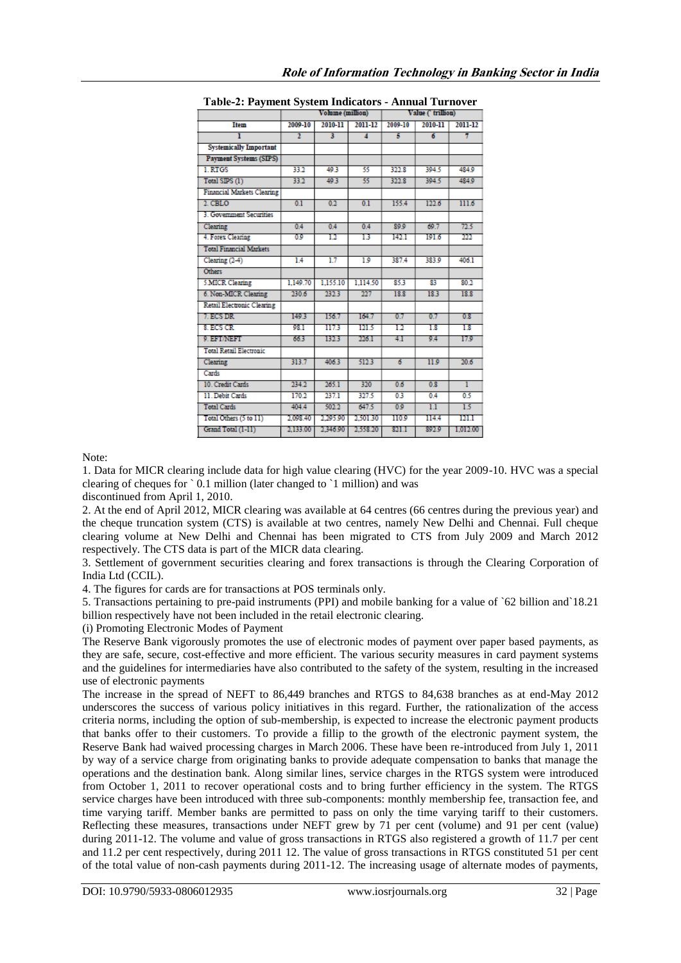| Table-2: Payment System Indicators - Annual Turnover |                  |                         |          |                   |         |          |
|------------------------------------------------------|------------------|-------------------------|----------|-------------------|---------|----------|
|                                                      | Volume (million) |                         |          | Value ('trillion) |         |          |
| Item                                                 | 2009-10          | 2010-11                 | 2011-12  | 2009-10           | 2010-11 | 2011-12  |
| ī                                                    | $\overline{2}$   | $\overline{\mathbf{3}}$ | 4        | ŝ                 | 6       | 7        |
| <b>Systemically Important</b>                        |                  |                         |          |                   |         |          |
| <b>Payment Systems (SIPS)</b>                        |                  |                         |          |                   |         |          |
| 1. RTGS                                              | 33.2             | 49.3                    | 55       | 322.8             | 394.5   | 484.9    |
| Total SIPS (1)                                       | 33.2             | 49.3                    | 55.      | 322.8             | 304.5   | 484.9    |
| Financial Markets Clearing                           |                  |                         |          |                   |         |          |
| 2. CBLO                                              | 0.1              | 0.2                     | 0.1      | 155.4             | 122.6   | 111.6    |
| 3. Government Securities                             |                  |                         |          |                   |         |          |
| Clearing                                             | 0.4              | 0.4                     | 0.4      | 89.9              | 69.7    | 72.5     |
| 4. Forex Clearing                                    | 09               | 12                      | 13       | 142.1             | 191.6   | 222      |
| <b>Total Financial Markets</b>                       |                  |                         |          |                   |         |          |
| Clearing $(2-4)$                                     | 14               | 1.7                     | 1.9      | 387.4             | 383.9   | 406.1    |
| <b>Others</b>                                        |                  |                         |          |                   |         |          |
| 5.MICR Clearing                                      | 1.149.70         | 1.155.10                | 1.114.50 | 85.3              | 83      | 80.2     |
| 6. Non-MICR Clearing                                 | 230.6            | 232.3                   | 227      | 18.8              | 18.3    | 18.8     |
| <b>Retail Electronic Clearing</b>                    |                  |                         |          |                   |         |          |
| 7. ECS DR                                            | 149.3            | 156.7                   | 164.7    | 0.7               | 0.7     | 0.8      |
| 8. ECS CR                                            | 98.1             | 1173                    | 121.5    | 12                | 18      | 18       |
| 9. EFT/NEFT                                          | 663              | 132.3                   | 226.1    | 41                | 9.4     | 17.9     |
| <b>Total Retail Electronic</b>                       |                  |                         |          |                   |         |          |
| Clearing                                             | 313.7            | 406.3                   | 512.3    | 6                 | 11.9    | 20.6     |
| Cards                                                |                  |                         |          |                   |         |          |
| 10. Credit Cards                                     | 234.2            | 265.1                   | 320      | 0.6               | 0.8     | T        |
| 11. Debit Cards                                      | 170.2            | 237.1                   | 327.5    | 03                | 0.4     | 0.5      |
| <b>Total Cards</b>                                   | 404.4            | 502.2                   | 647.5    | 0.9               | 1.1     | 15       |
| Total Others (5 to 11)                               | 2.098.40         | 2,295.90                | 2.501.30 | 110.9             | 114.4   | 121.1    |
| Grand Total (1-11)                                   | 2,133.00         | 2,346.90                | 2,558.20 | 821.1             | 892.9   | 1,012.00 |

Note:

1. Data for MICR clearing include data for high value clearing (HVC) for the year 2009-10. HVC was a special clearing of cheques for  $\delta$  0.1 million (later changed to  $\delta$ 1 million) and was

discontinued from April 1, 2010.

2. At the end of April 2012, MICR clearing was available at 64 centres (66 centres during the previous year) and the cheque truncation system (CTS) is available at two centres, namely New Delhi and Chennai. Full cheque clearing volume at New Delhi and Chennai has been migrated to CTS from July 2009 and March 2012 respectively. The CTS data is part of the MICR data clearing.

3. Settlement of government securities clearing and forex transactions is through the Clearing Corporation of India Ltd (CCIL).

4. The figures for cards are for transactions at POS terminals only.

5. Transactions pertaining to pre-paid instruments (PPI) and mobile banking for a value of `62 billion and`18.21 billion respectively have not been included in the retail electronic clearing.

(i) Promoting Electronic Modes of Payment

The Reserve Bank vigorously promotes the use of electronic modes of payment over paper based payments, as they are safe, secure, cost-effective and more efficient. The various security measures in card payment systems and the guidelines for intermediaries have also contributed to the safety of the system, resulting in the increased use of electronic payments

The increase in the spread of NEFT to 86,449 branches and RTGS to 84,638 branches as at end-May 2012 underscores the success of various policy initiatives in this regard. Further, the rationalization of the access criteria norms, including the option of sub-membership, is expected to increase the electronic payment products that banks offer to their customers. To provide a fillip to the growth of the electronic payment system, the Reserve Bank had waived processing charges in March 2006. These have been re-introduced from July 1, 2011 by way of a service charge from originating banks to provide adequate compensation to banks that manage the operations and the destination bank. Along similar lines, service charges in the RTGS system were introduced from October 1, 2011 to recover operational costs and to bring further efficiency in the system. The RTGS service charges have been introduced with three sub-components: monthly membership fee, transaction fee, and time varying tariff. Member banks are permitted to pass on only the time varying tariff to their customers. Reflecting these measures, transactions under NEFT grew by 71 per cent (volume) and 91 per cent (value) during 2011-12. The volume and value of gross transactions in RTGS also registered a growth of 11.7 per cent and 11.2 per cent respectively, during 2011 12. The value of gross transactions in RTGS constituted 51 per cent of the total value of non-cash payments during 2011-12. The increasing usage of alternate modes of payments,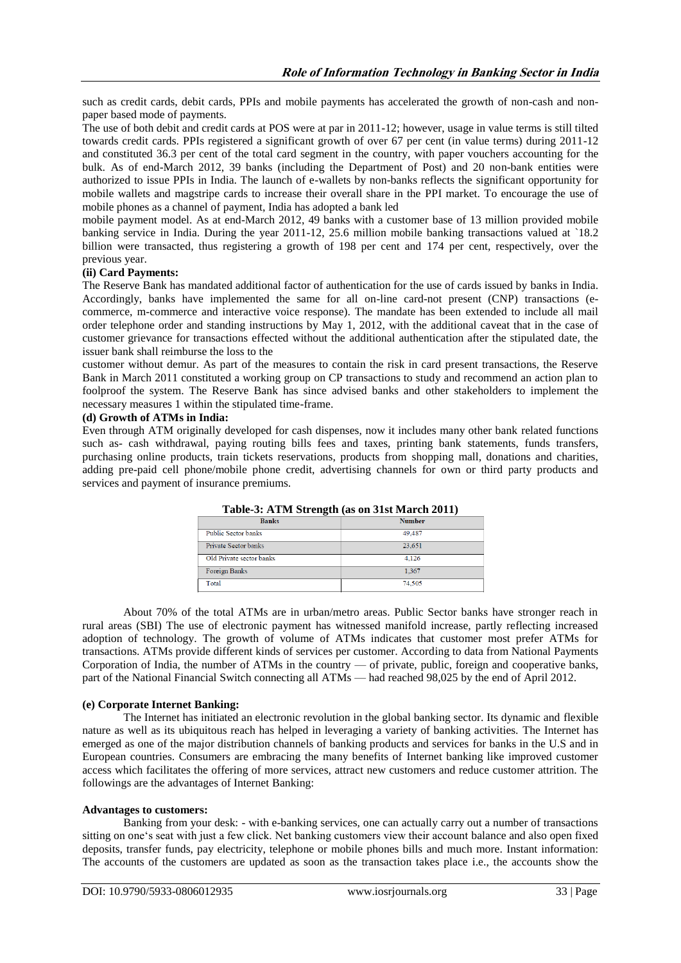such as credit cards, debit cards, PPIs and mobile payments has accelerated the growth of non-cash and nonpaper based mode of payments.

The use of both debit and credit cards at POS were at par in 2011-12; however, usage in value terms is still tilted towards credit cards. PPIs registered a significant growth of over 67 per cent (in value terms) during 2011-12 and constituted 36.3 per cent of the total card segment in the country, with paper vouchers accounting for the bulk. As of end-March 2012, 39 banks (including the Department of Post) and 20 non-bank entities were authorized to issue PPIs in India. The launch of e-wallets by non-banks reflects the significant opportunity for mobile wallets and magstripe cards to increase their overall share in the PPI market. To encourage the use of mobile phones as a channel of payment, India has adopted a bank led

mobile payment model. As at end-March 2012, 49 banks with a customer base of 13 million provided mobile banking service in India. During the year 2011-12, 25.6 million mobile banking transactions valued at `18.2 billion were transacted, thus registering a growth of 198 per cent and 174 per cent, respectively, over the previous year.

#### **(ii) Card Payments:**

The Reserve Bank has mandated additional factor of authentication for the use of cards issued by banks in India. Accordingly, banks have implemented the same for all on-line card-not present (CNP) transactions (ecommerce, m-commerce and interactive voice response). The mandate has been extended to include all mail order telephone order and standing instructions by May 1, 2012, with the additional caveat that in the case of customer grievance for transactions effected without the additional authentication after the stipulated date, the issuer bank shall reimburse the loss to the

customer without demur. As part of the measures to contain the risk in card present transactions, the Reserve Bank in March 2011 constituted a working group on CP transactions to study and recommend an action plan to foolproof the system. The Reserve Bank has since advised banks and other stakeholders to implement the necessary measures 1 within the stipulated time-frame.

#### **(d) Growth of ATMs in India:**

Even through ATM originally developed for cash dispenses, now it includes many other bank related functions such as- cash withdrawal, paying routing bills fees and taxes, printing bank statements, funds transfers, purchasing online products, train tickets reservations, products from shopping mall, donations and charities, adding pre-paid cell phone/mobile phone credit, advertising channels for own or third party products and services and payment of insurance premiums.

| Table-9, ATTIM Bu cligth (as on 91st march 2011) |               |  |
|--------------------------------------------------|---------------|--|
| <b>Banks</b>                                     | <b>Number</b> |  |
| Public Sector banks                              | 49,487        |  |
| Private Sector banks                             | 23,651        |  |
| Old Private sector banks                         | 4.126         |  |
| Foreign Banks                                    | 1.367         |  |
| Total                                            | 74.505        |  |

**Table-3: ATM Strength (as on 31st March 2011)**

About 70% of the total ATMs are in urban/metro areas. Public Sector banks have stronger reach in rural areas (SBI) The use of electronic payment has witnessed manifold increase, partly reflecting increased adoption of technology. The growth of volume of ATMs indicates that customer most prefer ATMs for transactions. ATMs provide different kinds of services per customer. According to data from National Payments Corporation of India, the number of ATMs in the country — of private, public, foreign and cooperative banks, part of the National Financial Switch connecting all ATMs — had reached 98,025 by the end of April 2012.

#### **(e) Corporate Internet Banking:**

The Internet has initiated an electronic revolution in the global banking sector. Its dynamic and flexible nature as well as its ubiquitous reach has helped in leveraging a variety of banking activities. The Internet has emerged as one of the major distribution channels of banking products and services for banks in the U.S and in European countries. Consumers are embracing the many benefits of Internet banking like improved customer access which facilitates the offering of more services, attract new customers and reduce customer attrition. The followings are the advantages of Internet Banking:

#### **Advantages to customers:**

Banking from your desk: - with e-banking services, one can actually carry out a number of transactions sitting on one's seat with just a few click. Net banking customers view their account balance and also open fixed deposits, transfer funds, pay electricity, telephone or mobile phones bills and much more. Instant information: The accounts of the customers are updated as soon as the transaction takes place i.e., the accounts show the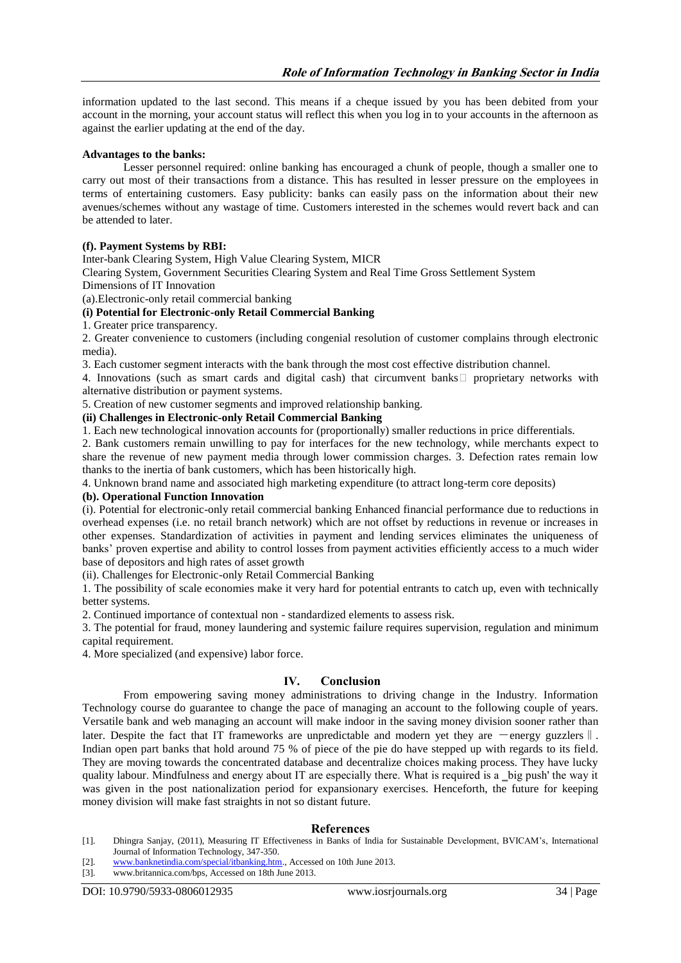information updated to the last second. This means if a cheque issued by you has been debited from your account in the morning, your account status will reflect this when you log in to your accounts in the afternoon as against the earlier updating at the end of the day.

#### **Advantages to the banks:**

Lesser personnel required: online banking has encouraged a chunk of people, though a smaller one to carry out most of their transactions from a distance. This has resulted in lesser pressure on the employees in terms of entertaining customers. Easy publicity: banks can easily pass on the information about their new avenues/schemes without any wastage of time. Customers interested in the schemes would revert back and can be attended to later.

#### **(f). Payment Systems by RBI:**

Inter-bank Clearing System, High Value Clearing System, MICR

Clearing System, Government Securities Clearing System and Real Time Gross Settlement System

Dimensions of IT Innovation

(a).Electronic-only retail commercial banking

#### **(i) Potential for Electronic-only Retail Commercial Banking**

1. Greater price transparency.

2. Greater convenience to customers (including congenial resolution of customer complains through electronic media).

3. Each customer segment interacts with the bank through the most cost effective distribution channel.

4. Innovations (such as smart cards and digital cash) that circumvent banks  $\Box$  proprietary networks with alternative distribution or payment systems.

5. Creation of new customer segments and improved relationship banking.

#### **(ii) Challenges in Electronic-only Retail Commercial Banking**

1. Each new technological innovation accounts for (proportionally) smaller reductions in price differentials.

2. Bank customers remain unwilling to pay for interfaces for the new technology, while merchants expect to share the revenue of new payment media through lower commission charges. 3. Defection rates remain low thanks to the inertia of bank customers, which has been historically high.

4. Unknown brand name and associated high marketing expenditure (to attract long-term core deposits)

#### **(b). Operational Function Innovation**

(i). Potential for electronic-only retail commercial banking Enhanced financial performance due to reductions in overhead expenses (i.e. no retail branch network) which are not offset by reductions in revenue or increases in other expenses. Standardization of activities in payment and lending services eliminates the uniqueness of banks' proven expertise and ability to control losses from payment activities efficiently access to a much wider base of depositors and high rates of asset growth

(ii). Challenges for Electronic-only Retail Commercial Banking

1. The possibility of scale economies make it very hard for potential entrants to catch up, even with technically better systems.

2. Continued importance of contextual non - standardized elements to assess risk.

3. The potential for fraud, money laundering and systemic failure requires supervision, regulation and minimum capital requirement.

4. More specialized (and expensive) labor force.

# **IV. Conclusion**

From empowering saving money administrations to driving change in the Industry. Information Technology course do guarantee to change the pace of managing an account to the following couple of years. Versatile bank and web managing an account will make indoor in the saving money division sooner rather than later. Despite the fact that IT frameworks are unpredictable and modern yet they are —energy guzzlers  $\parallel$ . Indian open part banks that hold around 75 % of piece of the pie do have stepped up with regards to its field. They are moving towards the concentrated database and decentralize choices making process. They have lucky quality labour. Mindfulness and energy about IT are especially there. What is required is a \_big push' the way it was given in the post nationalization period for expansionary exercises. Henceforth, the future for keeping money division will make fast straights in not so distant future.

#### **References**

- [1]. Dhingra Sanjay, (2011), Measuring IT Effectiveness in Banks of India for Sustainable Development, BVICAM's, International Journal of Information Technology, 347-350.
- [2]. [www.banknetindia.com/special/itbanking.htm.,](http://www.banknetindia.com/special/itbanking.htm) Accessed on 10th June 2013.<br>[3]. www.britannica.com/bps, Accessed on 18th June 2013.

www.britannica.com/bps, Accessed on 18th June 2013.